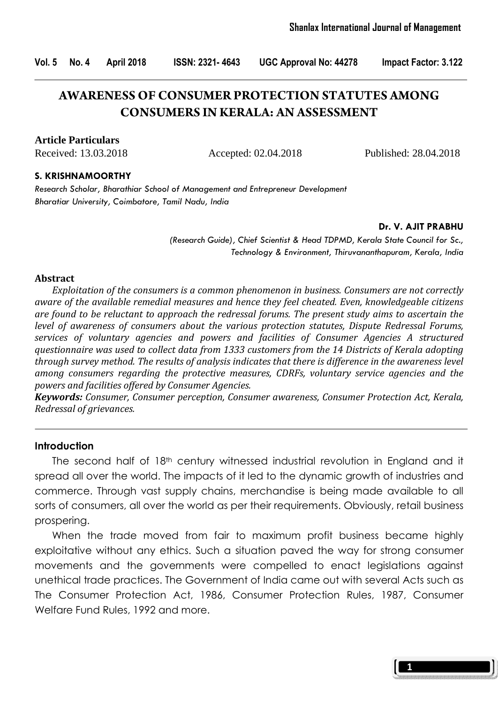Vol. 5 No. 4 April 2018 ISSN: 2321- 4643 UGC Approval No: 44278 Impact Factor: 3.122

# **AWARENESS OF CONSUMER PROTECTION STATUTES AMONG CONSUMERS IN KERALA: AN ASSESSMENT**

#### **Article Particulars**

Received: 13.03.2018 Accepted: 02.04.2018 Published: 28.04.2018

#### S. KRISHNAMOORTHY

Research Scholar, Bharathiar School of Management and Entrepreneur Development Bharatiar University, Coimbatore, Tamil Nadu, India

#### Dr. V. AJIT PRABHU

(Research Guide), Chief Scientist & Head TDPMD, Kerala State Council for Sc., Technology & Environment, Thiruvananthapuram, Kerala, India

#### Abstract

 Exploitation of the consumers is a common phenomenon in business. Consumers are not correctly aware of the available remedial measures and hence they feel cheated. Even, knowledgeable citizens are found to be reluctant to approach the redressal forums. The present study aims to ascertain the level of awareness of consumers about the various protection statutes, Dispute Redressal Forums, services of voluntary agencies and powers and facilities of Consumer Agencies A structured questionnaire was used to collect data from 1333 customers from the 14 Districts of Kerala adopting through survey method. The results of analysis indicates that there is difference in the awareness level among consumers regarding the protective measures, CDRFs, voluntary service agencies and the powers and facilities offered by Consumer Agencies.

Keywords: Consumer, Consumer perception, Consumer awareness, Consumer Protection Act, Kerala, Redressal of grievances.

#### **Introduction**

The second half of  $18<sup>th</sup>$  century witnessed industrial revolution in England and it spread all over the world. The impacts of it led to the dynamic growth of industries and commerce. Through vast supply chains, merchandise is being made available to all sorts of consumers, all over the world as per their requirements. Obviously, retail business prospering.

 When the trade moved from fair to maximum profit business became highly exploitative without any ethics. Such a situation paved the way for strong consumer movements and the governments were compelled to enact legislations against unethical trade practices. The Government of India came out with several Acts such as The Consumer Protection Act, 1986, Consumer Protection Rules, 1987, Consumer Welfare Fund Rules, 1992 and more.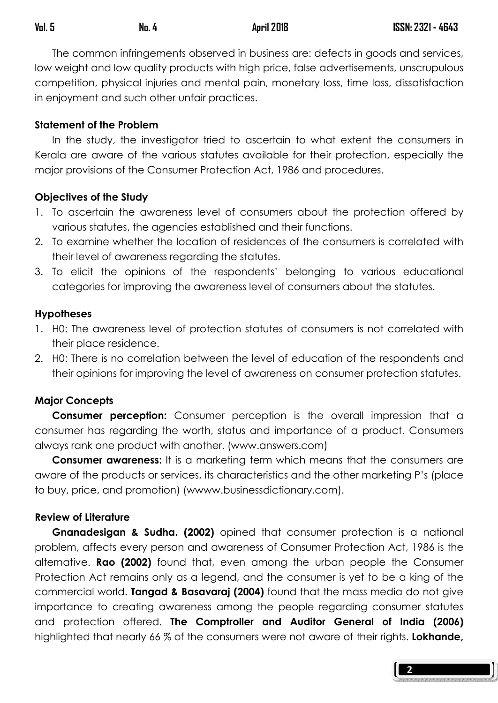The common infringements observed in business are: defects in goods and services, low weight and low quality products with high price, false advertisements, unscrupulous competition, physical injuries and mental pain, monetary loss, time loss, dissatisfaction in enjoyment and such other unfair practices.

### Statement of the Problem

 In the study, the investigator tried to ascertain to what extent the consumers in Kerala are aware of the various statutes available for their protection, especially the major provisions of the Consumer Protection Act, 1986 and procedures.

### Objectives of the Study

- 1. To ascertain the awareness level of consumers about the protection offered by various statutes, the agencies established and their functions.
- 2. To examine whether the location of residences of the consumers is correlated with their level of awareness regarding the statutes.
- 3. To elicit the opinions of the respondents' belonging to various educational categories for improving the awareness level of consumers about the statutes.

### **Hypotheses**

- 1. H0: The awareness level of protection statutes of consumers is not correlated with their place residence.
- 2. H0: There is no correlation between the level of education of the respondents and their opinions for improving the level of awareness on consumer protection statutes.

# Major Concepts

**Consumer perception:** Consumer perception is the overall impression that a consumer has regarding the worth, status and importance of a product. Consumers always rank one product with another. (www.answers.com)

**Consumer awareness:** It is a marketing term which means that the consumers are aware of the products or services, its characteristics and the other marketing P's (place to buy, price, and promotion) (wwww.businessdictionary.com).

# Review of Literature

Gnanadesigan & Sudha. (2002) opined that consumer protection is a national problem, affects every person and awareness of Consumer Protection Act, 1986 is the alternative. Rao (2002) found that, even among the urban people the Consumer Protection Act remains only as a legend, and the consumer is yet to be a king of the commercial world. Tangad & Basavaraj (2004) found that the mass media do not give importance to creating awareness among the people regarding consumer statutes and protection offered. The Comptroller and Auditor General of India (2006) highlighted that nearly 66 % of the consumers were not aware of their rights. Lokhande,

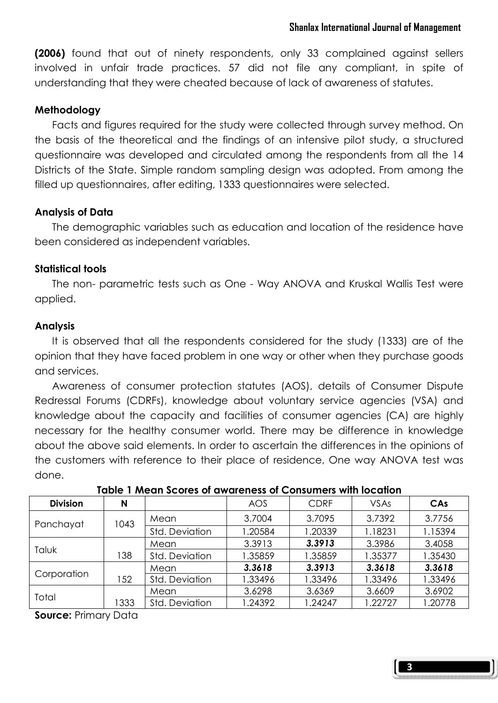(2006) found that out of ninety respondents, only 33 complained against sellers involved in unfair trade practices. 57 did not file any compliant, in spite of understanding that they were cheated because of lack of awareness of statutes.

# **Methodology**

 Facts and figures required for the study were collected through survey method. On the basis of the theoretical and the findings of an intensive pilot study, a structured questionnaire was developed and circulated among the respondents from all the 14 Districts of the State. Simple random sampling design was adopted. From among the filled up questionnaires, after editing, 1333 questionnaires were selected.

# Analysis of Data

The demographic variables such as education and location of the residence have been considered as independent variables.

# Statistical tools

 The non- parametric tests such as One - Way ANOVA and Kruskal Wallis Test were applied.

### **Analysis**

 It is observed that all the respondents considered for the study (1333) are of the opinion that they have faced problem in one way or other when they purchase goods and services.

 Awareness of consumer protection statutes (AOS), details of Consumer Dispute Redressal Forums (CDRFs), knowledge about voluntary service agencies (VSA) and knowledge about the capacity and facilities of consumer agencies (CA) are highly necessary for the healthy consumer world. There may be difference in knowledge about the above said elements. In order to ascertain the differences in the opinions of the customers with reference to their place of residence, One way ANOVA test was done.

| <b>Division</b> | N    |                | AOS     | <b>CDRF</b> | <b>VSAs</b> | CAs     |
|-----------------|------|----------------|---------|-------------|-------------|---------|
| Panchayat       | 1043 | Mean           | 3.7004  | 3.7095      | 3.7392      | 3.7756  |
|                 |      | Std. Deviation | .20584  | 1.20339     | 1.18231     | 1.15394 |
|                 |      | Mean           | 3.3913  | 3.3913      | 3.3986      | 3.4058  |
| Taluk           | 138  | Std. Deviation | 1.35859 | 1.35859     | 1.35377     | 1.35430 |
|                 |      | Mean           | 3.3618  | 3.3913      | 3.3618      | 3.3618  |
| Corporation     | 152  | Std. Deviation | 1.33496 | 1.33496     | 1.33496     | 1.33496 |
| Total           |      | Mean           | 3.6298  | 3.6369      | 3.6609      | 3.6902  |
|                 | 1333 | Std. Deviation | .24392  | 1.24247     | 1.22727     | 1.20778 |

# \Table 1 Mean Scores of awareness of Consumers with location

Source: Primary Data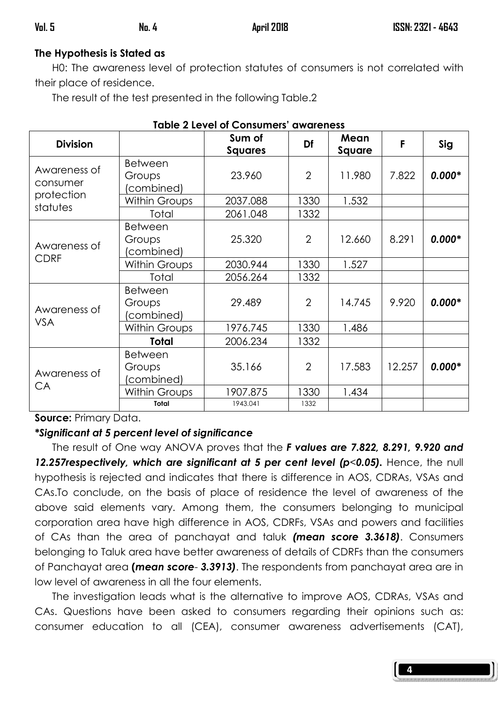# The Hypothesis is Stated as

 H0: The awareness level of protection statutes of consumers is not correlated with their place of residence.

The result of the test presented in the following Table.2

| Tuble 2 Level of Consumers' awareness |                                       |                          |                |                |        |          |
|---------------------------------------|---------------------------------------|--------------------------|----------------|----------------|--------|----------|
| <b>Division</b>                       |                                       | Sum of<br><b>Squares</b> | Df             | Mean<br>Square | F      | Sig      |
| Awareness of<br>consumer              | <b>Between</b><br>Groups<br>combined) | 23.960                   | $\overline{2}$ | 11.980         | 7.822  | $0.000*$ |
| protection                            | <b>Within Groups</b>                  | 2037.088                 | 1330           | 1.532          |        |          |
| statutes                              | Total                                 | 2061.048                 | 1332           |                |        |          |
| Awareness of                          | <b>Between</b><br>Groups<br>combined) | 25.320                   | $\overline{2}$ | 12.660         | 8.291  | $0.000*$ |
| <b>CDRF</b>                           | <b>Within Groups</b>                  | 2030.944                 | 1330           | 1.527          |        |          |
|                                       | Total                                 | 2056.264                 | 1332           |                |        |          |
| Awareness of<br><b>VSA</b>            | <b>Between</b><br>Groups<br>combined) | 29.489                   | $\overline{2}$ | 14.745         | 9.920  | $0.000*$ |
|                                       | <b>Within Groups</b>                  | 1976.745                 | 1330           | 1.486          |        |          |
|                                       | <b>Total</b>                          | 2006.234                 | 1332           |                |        |          |
| Awareness of<br>CA                    | Between<br>Groups<br>(combined)       | 35.166                   | $\overline{2}$ | 17.583         | 12.257 | $0.000*$ |
|                                       | <b>Within Groups</b>                  | 1907.875                 | 1330           | 1.434          |        |          |
|                                       | Total                                 | 1943.041                 | 1332           |                |        |          |

| <b>Table 2 Level of Consumers' awareness</b> |  |
|----------------------------------------------|--|
|----------------------------------------------|--|

Source: Primary Data.

# \*Significant at 5 percent level of significance

The result of One way ANOVA proves that the F values are 7.822, 8.291, 9.920 and 12.257 respectively, which are significant at 5 per cent level ( $p$ <0.05). Hence, the null hypothesis is rejected and indicates that there is difference in AOS, CDRAs, VSAs and CAs.To conclude, on the basis of place of residence the level of awareness of the above said elements vary. Among them, the consumers belonging to municipal corporation area have high difference in AOS, CDRFs, VSAs and powers and facilities of CAs than the area of panchayat and taluk (mean score 3.3618). Consumers belonging to Taluk area have better awareness of details of CDRFs than the consumers of Panchayat area (mean score- 3.3913). The respondents from panchayat area are in low level of awareness in all the four elements.

 The investigation leads what is the alternative to improve AOS, CDRAs, VSAs and CAs. Questions have been asked to consumers regarding their opinions such as: consumer education to all (CEA), consumer awareness advertisements (CAT),

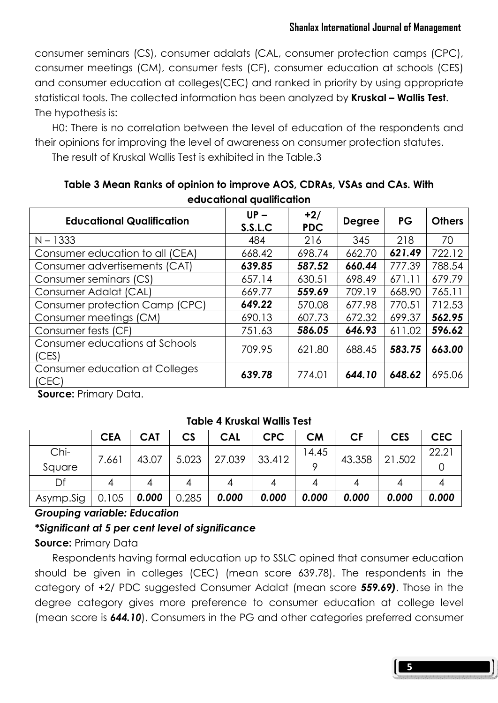consumer seminars (CS), consumer adalats (CAL, consumer protection camps (CPC), consumer meetings (CM), consumer fests (CF), consumer education at schools (CES) and consumer education at colleges(CEC) and ranked in priority by using appropriate statistical tools. The collected information has been analyzed by Kruskal – Wallis Test. The hypothesis is:

 H0: There is no correlation between the level of education of the respondents and their opinions for improving the level of awareness on consumer protection statutes.

The result of Kruskal Wallis Test is exhibited in the Table.3

| <b>Educational Qualification</b>        | $UP -$<br>S.S.L.C | $+2/$<br><b>PDC</b> | <b>Degree</b> | <b>PG</b> | <b>Others</b> |
|-----------------------------------------|-------------------|---------------------|---------------|-----------|---------------|
| $N - 1333$                              | 484               | 216                 | 345           | 218       | 70            |
| Consumer education to all (CEA)         | 668.42            | 698.74              | 662.70        | 621.49    | 722.12        |
| Consumer advertisements (CAT)           | 639.85            | 587.52              | 660.44        | 777.39    | 788.54        |
| Consumer seminars (CS)                  | 657.14            | 630.51              | 698.49        | 671.11    | 679.79        |
| Consumer Adalat (CAL)                   | 669.77            | 559.69              | 709.19        | 668.90    | 765.11        |
| Consumer protection Camp (CPC)          | 649.22            | 570.08              | 677.98        | 770.51    | 712.53        |
| Consumer meetings (CM)                  | 690.13            | 607.73              | 672.32        | 699.37    | 562.95        |
| Consumer fests (CF)                     | 751.63            | 586.05              | 646.93        | 611.02    | 596.62        |
| Consumer educations at Schools<br>(CES) | 709.95            | 621.80              | 688.45        | 583.75    | 663.00        |
| Consumer education at Colleges<br>(CEC) | 639.78            | 774.01              | 644.10        | 648.62    | 695.06        |

Table 3 Mean Ranks of opinion to improve AOS, CDRAs, VSAs and CAs. With educational qualification

Source: Primary Data.

#### Table 4 Kruskal Wallis Test

|           | <b>CEA</b> | <b>CAT</b> | $\mathsf{CS}\phantom{0}$ | <b>CAL</b> | <b>CPC</b> | <b>CM</b> | СF     | <b>CES</b> | CEC   |
|-----------|------------|------------|--------------------------|------------|------------|-----------|--------|------------|-------|
| Chi-      | 7.661      | 43.07      | 5.023                    | 27.039     | 33.412     | 14.45     | 43.358 | 21.502     | 22.21 |
| Square    |            |            |                          |            |            |           |        |            |       |
| Df        |            |            |                          |            |            |           |        |            |       |
| Asymp.Sig | 0.105      | 0.000      | 0.285                    | 0.000      | 0.000      | 0.000     | 0.000  | 0.000      | 0.000 |

# Grouping variable: Education

\*Significant at 5 per cent level of significance

# Source: Primary Data

 Respondents having formal education up to SSLC opined that consumer education should be given in colleges (CEC) (mean score 639.78). The respondents in the category of +2/ PDC suggested Consumer Adalat (mean score 559.69). Those in the degree category gives more preference to consumer education at college level (mean score is 644.10). Consumers in the PG and other categories preferred consumer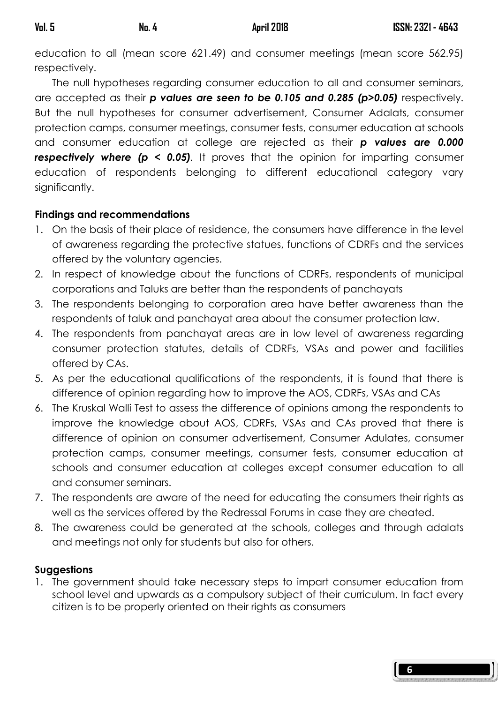education to all (mean score 621.49) and consumer meetings (mean score 562.95) respectively.

 The null hypotheses regarding consumer education to all and consumer seminars, are accepted as their  $p$  values are seen to be 0.105 and 0.285 ( $p$ >0.05) respectively. But the null hypotheses for consumer advertisement, Consumer Adalats, consumer protection camps, consumer meetings, consumer fests, consumer education at schools and consumer education at college are rejected as their **p values are 0.000 respectively where (p < 0.05)**. It proves that the opinion for imparting consumer education of respondents belonging to different educational category vary significantly.

# Findings and recommendations

- 1. On the basis of their place of residence, the consumers have difference in the level of awareness regarding the protective statues, functions of CDRFs and the services offered by the voluntary agencies.
- 2. In respect of knowledge about the functions of CDRFs, respondents of municipal corporations and Taluks are better than the respondents of panchayats
- 3. The respondents belonging to corporation area have better awareness than the respondents of taluk and panchayat area about the consumer protection law.
- 4. The respondents from panchayat areas are in low level of awareness regarding consumer protection statutes, details of CDRFs, VSAs and power and facilities offered by CAs.
- 5. As per the educational qualifications of the respondents, it is found that there is difference of opinion regarding how to improve the AOS, CDRFs, VSAs and CAs
- 6. The Kruskal Walli Test to assess the difference of opinions among the respondents to improve the knowledge about AOS, CDRFs, VSAs and CAs proved that there is difference of opinion on consumer advertisement, Consumer Adulates, consumer protection camps, consumer meetings, consumer fests, consumer education at schools and consumer education at colleges except consumer education to all and consumer seminars.
- 7. The respondents are aware of the need for educating the consumers their rights as well as the services offered by the Redressal Forums in case they are cheated.
- 8. The awareness could be generated at the schools, colleges and through adalats and meetings not only for students but also for others.

# Suggestions

1. The government should take necessary steps to impart consumer education from school level and upwards as a compulsory subject of their curriculum. In fact every citizen is to be properly oriented on their rights as consumers